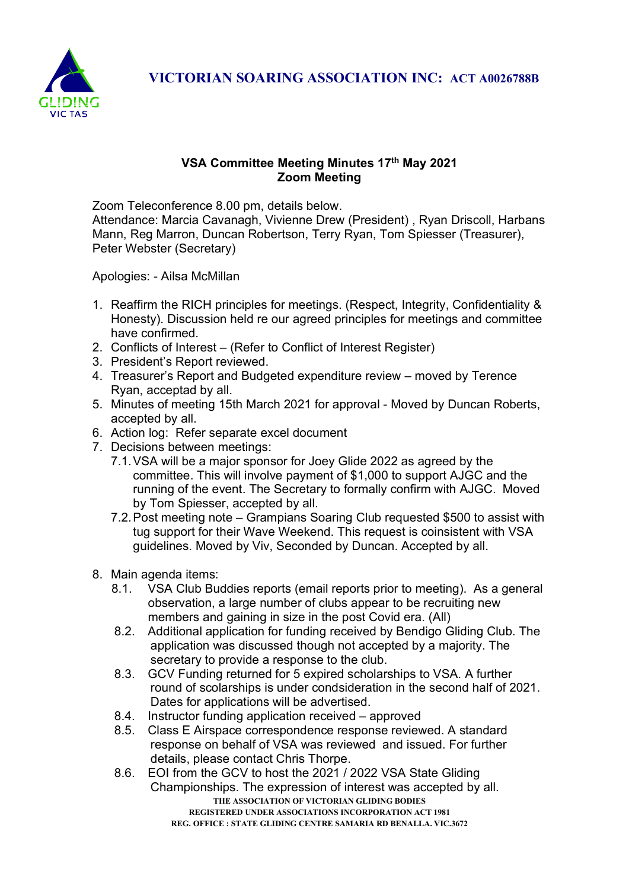

## VSA Committee Meeting Minutes 17th May 2021 Zoom Meeting

Zoom Teleconference 8.00 pm, details below.

Attendance: Marcia Cavanagh, Vivienne Drew (President) , Ryan Driscoll, Harbans Mann, Reg Marron, Duncan Robertson, Terry Ryan, Tom Spiesser (Treasurer), Peter Webster (Secretary)

Apologies: - Ailsa McMillan

- 1. Reaffirm the RICH principles for meetings. (Respect, Integrity, Confidentiality & Honesty). Discussion held re our agreed principles for meetings and committee have confirmed.
- 2. Conflicts of Interest (Refer to Conflict of Interest Register)
- 3. President's Report reviewed.
- 4. Treasurer's Report and Budgeted expenditure review moved by Terence Ryan, acceptad by all.
- 5. Minutes of meeting 15th March 2021 for approval Moved by Duncan Roberts, accepted by all.
- 6. Action log: Refer separate excel document
- 7. Decisions between meetings:
	- 7.1. VSA will be a major sponsor for Joey Glide 2022 as agreed by the committee. This will involve payment of \$1,000 to support AJGC and the running of the event. The Secretary to formally confirm with AJGC. Moved by Tom Spiesser, accepted by all.
	- 7.2. Post meeting note Grampians Soaring Club requested \$500 to assist with tug support for their Wave Weekend. This request is coinsistent with VSA guidelines. Moved by Viv, Seconded by Duncan. Accepted by all.
- 8. Main agenda items:
	- 8.1. VSA Club Buddies reports (email reports prior to meeting). As a general observation, a large number of clubs appear to be recruiting new members and gaining in size in the post Covid era. (All)
	- 8.2. Additional application for funding received by Bendigo Gliding Club. The application was discussed though not accepted by a majority. The secretary to provide a response to the club.
	- 8.3. GCV Funding returned for 5 expired scholarships to VSA. A further round of scolarships is under condsideration in the second half of 2021. Dates for applications will be advertised.
	- 8.4. Instructor funding application received approved
	- 8.5. Class E Airspace correspondence response reviewed. A standard response on behalf of VSA was reviewed and issued. For further details, please contact Chris Thorpe.
	- THE ASSOCIATION OF VICTORIAN GLIDING BODIES REGISTERED UNDER ASSOCIATIONS INCORPORATION ACT 1981 REG. OFFICE : STATE GLIDING CENTRE SAMARIA RD BENALLA. VIC.3672 8.6. EOI from the GCV to host the 2021 / 2022 VSA State Gliding Championships. The expression of interest was accepted by all.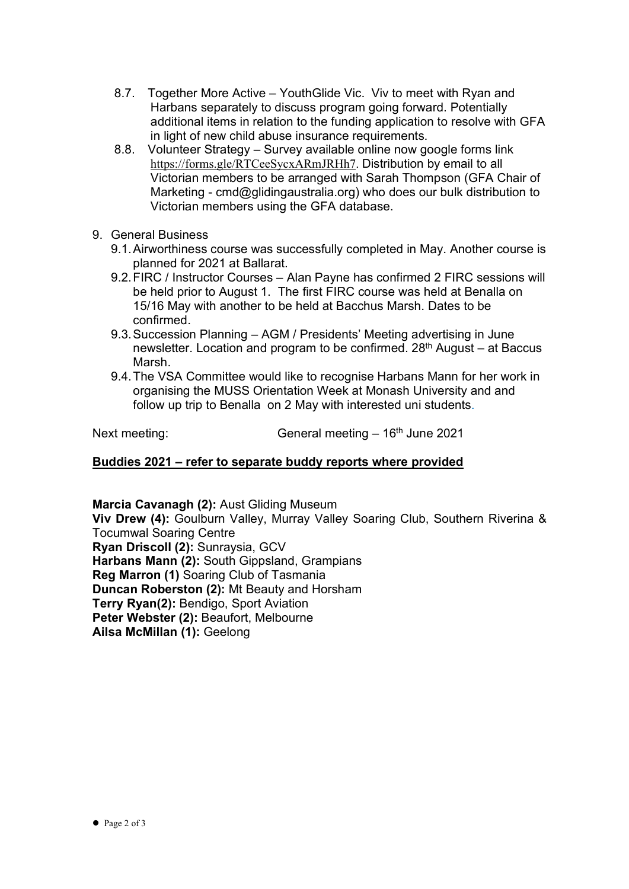- 8.7. Together More Active YouthGlide Vic. Viv to meet with Ryan and Harbans separately to discuss program going forward. Potentially additional items in relation to the funding application to resolve with GFA in light of new child abuse insurance requirements.
- 8.8. Volunteer Strategy Survey available online now google forms link https://forms.gle/RTCeeSycxARmJRHh7. Distribution by email to all Victorian members to be arranged with Sarah Thompson (GFA Chair of Marketing - cmd@glidingaustralia.org) who does our bulk distribution to Victorian members using the GFA database.
- 9. General Business
	- 9.1. Airworthiness course was successfully completed in May. Another course is planned for 2021 at Ballarat.
	- 9.2. FIRC / Instructor Courses Alan Payne has confirmed 2 FIRC sessions will be held prior to August 1. The first FIRC course was held at Benalla on 15/16 May with another to be held at Bacchus Marsh. Dates to be confirmed.
	- 9.3. Succession Planning AGM / Presidents' Meeting advertising in June newsletter. Location and program to be confirmed. 28th August – at Baccus Marsh.
	- 9.4. The VSA Committee would like to recognise Harbans Mann for her work in organising the MUSS Orientation Week at Monash University and and follow up trip to Benalla on 2 May with interested uni students.

Next meeting: General meeting – 16<sup>th</sup> June 2021

## Buddies 2021 – refer to separate buddy reports where provided

Marcia Cavanagh (2): Aust Gliding Museum Viv Drew (4): Goulburn Valley, Murray Valley Soaring Club, Southern Riverina & Tocumwal Soaring Centre Ryan Driscoll (2): Sunraysia, GCV Harbans Mann (2): South Gippsland, Grampians Reg Marron (1) Soaring Club of Tasmania Duncan Roberston (2): Mt Beauty and Horsham Terry Ryan(2): Bendigo, Sport Aviation Peter Webster (2): Beaufort, Melbourne Ailsa McMillan (1): Geelong